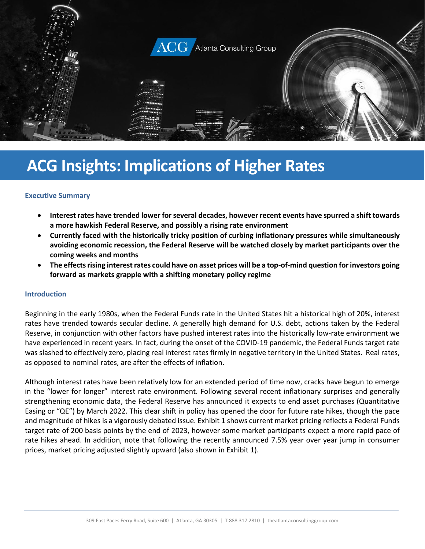

# **ACG Insights: Implications of Higher Rates**

#### **Executive Summary**

- **Interest rates have trended lower for several decades, however recent events have spurred a shift towards a more hawkish Federal Reserve, and possibly a rising rate environment**
- **Currently faced with the historically tricky position of curbing inflationary pressures while simultaneously avoiding economic recession, the Federal Reserve will be watched closely by market participants over the coming weeks and months**
- **The effectsrising interest rates could have on asset prices will be a top-of-mind question for investors going forward as markets grapple with a shifting monetary policy regime**

#### **Introduction**

Beginning in the early 1980s, when the Federal Funds rate in the United States hit a historical high of 20%, interest rates have trended towards secular decline. A generally high demand for U.S. debt, actions taken by the Federal Reserve, in conjunction with other factors have pushed interest rates into the historically low-rate environment we have experienced in recent years. In fact, during the onset of the COVID-19 pandemic, the Federal Funds target rate was slashed to effectively zero, placing real interest rates firmly in negative territory in the United States. Real rates, as opposed to nominal rates, are after the effects of inflation.

Although interest rates have been relatively low for an extended period of time now, cracks have begun to emerge in the "lower for longer" interest rate environment. Following several recent inflationary surprises and generally strengthening economic data, the Federal Reserve has announced it expects to end asset purchases (Quantitative Easing or "QE") by March 2022. This clear shift in policy has opened the door for future rate hikes, though the pace and magnitude of hikes is a vigorously debated issue. Exhibit 1 shows current market pricing reflects a Federal Funds target rate of 200 basis points by the end of 2023, however some market participants expect a more rapid pace of rate hikes ahead. In addition, note that following the recently announced 7.5% year over year jump in consumer prices, market pricing adjusted slightly upward (also shown in Exhibit 1).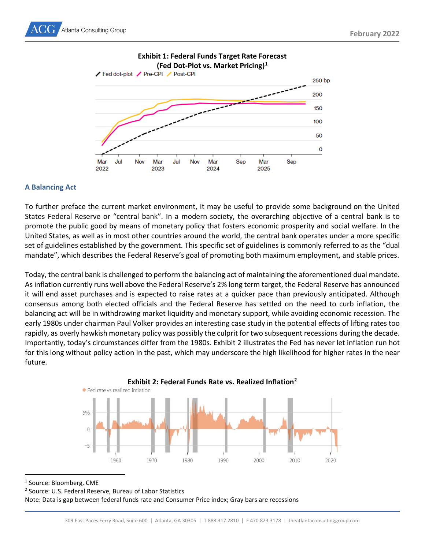



# **Exhibit 1: Federal Funds Target Rate Forecast**

#### **A Balancing Act**

To further preface the current market environment, it may be useful to provide some background on the United States Federal Reserve or "central bank". In a modern society, the overarching objective of a central bank is to promote the public good by means of monetary policy that fosters economic prosperity and social welfare. In the United States, as well as in most other countries around the world, the central bank operates under a more specific set of guidelines established by the government. This specific set of guidelines is commonly referred to as the "dual mandate", which describes the Federal Reserve's goal of promoting both maximum employment, and stable prices.

Today, the central bank is challenged to perform the balancing act of maintaining the aforementioned dual mandate. As inflation currently runs well above the Federal Reserve's 2% long term target, the Federal Reserve has announced it will end asset purchases and is expected to raise rates at a quicker pace than previously anticipated. Although consensus among both elected officials and the Federal Reserve has settled on the need to curb inflation, the balancing act will be in withdrawing market liquidity and monetary support, while avoiding economic recession. The early 1980s under chairman Paul Volker provides an interesting case study in the potential effects of lifting rates too rapidly, as overly hawkish monetary policy was possibly the culprit for two subsequent recessions during the decade. Importantly, today's circumstances differ from the 1980s. Exhibit 2 illustrates the Fed has never let inflation run hot for this long without policy action in the past, which may underscore the high likelihood for higher rates in the near future.





<span id="page-1-0"></span><sup>1</sup> Source: Bloomberg, CME

<span id="page-1-1"></span><sup>2</sup> Source: U.S. Federal Reserve, Bureau of Labor Statistics

Note: Data is gap between federal funds rate and Consumer Price index; Gray bars are recessions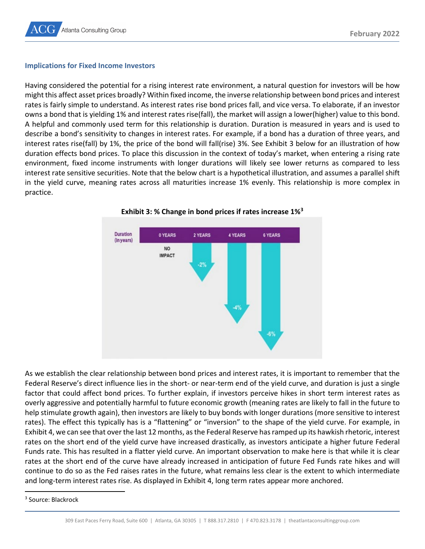#### **Implications for Fixed Income Investors**

Having considered the potential for a rising interest rate environment, a natural question for investors will be how might this affect asset prices broadly? Within fixed income, the inverse relationship between bond prices and interest rates is fairly simple to understand. As interest rates rise bond prices fall, and vice versa. To elaborate, if an investor owns a bond that is yielding 1% and interest rates rise(fall), the market will assign a lower(higher) value to this bond. A helpful and commonly used term for this relationship is duration. Duration is measured in years and is used to describe a bond's sensitivity to changes in interest rates. For example, if a bond has a duration of three years, and interest rates rise(fall) by 1%, the price of the bond will fall(rise) 3%. See Exhibit 3 below for an illustration of how duration effects bond prices. To place this discussion in the context of today's market, when entering a rising rate environment, fixed income instruments with longer durations will likely see lower returns as compared to less interest rate sensitive securities. Note that the below chart is a hypothetical illustration, and assumes a parallel shift in the yield curve, meaning rates across all maturities increase 1% evenly. This relationship is more complex in practice.





As we establish the clear relationship between bond prices and interest rates, it is important to remember that the Federal Reserve's direct influence lies in the short- or near-term end of the yield curve, and duration is just a single factor that could affect bond prices. To further explain, if investors perceive hikes in short term interest rates as overly aggressive and potentially harmful to future economic growth (meaning rates are likely to fall in the future to help stimulate growth again), then investors are likely to buy bonds with longer durations (more sensitive to interest rates). The effect this typically has is a "flattening" or "inversion" to the shape of the yield curve. For example, in Exhibit 4, we can see that over the last 12 months, as the Federal Reserve has ramped up its hawkish rhetoric, interest rates on the short end of the yield curve have increased drastically, as investors anticipate a higher future Federal Funds rate. This has resulted in a flatter yield curve. An important observation to make here is that while it is clear rates at the short end of the curve have already increased in anticipation of future Fed Funds rate hikes and will continue to do so as the Fed raises rates in the future, what remains less clear is the extent to which intermediate and long-term interest rates rise. As displayed in Exhibit 4, long term rates appear more anchored.

<span id="page-2-0"></span><sup>3</sup> Source: Blackrock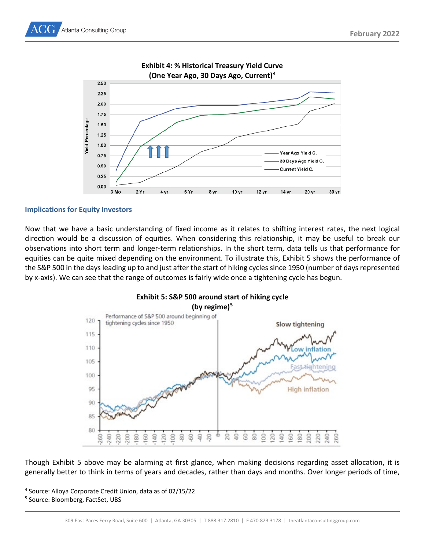



**Implications for Equity Investors**

Now that we have a basic understanding of fixed income as it relates to shifting interest rates, the next logical direction would be a discussion of equities. When considering this relationship, it may be useful to break our observations into short term and longer-term relationships. In the short term, data tells us that performance for equities can be quite mixed depending on the environment. To illustrate this, Exhibit 5 shows the performance of the S&P 500 in the days leading up to and just after the start of hiking cycles since 1950 (number of days represented by x-axis). We can see that the range of outcomes is fairly wide once a tightening cycle has begun.



Though Exhibit 5 above may be alarming at first glance, when making decisions regarding asset allocation, it is generally better to think in terms of years and decades, rather than days and months. Over longer periods of time,

<span id="page-3-0"></span><sup>4</sup> Source: Alloya Corporate Credit Union, data as of 02/15/22

<span id="page-3-1"></span><sup>5</sup> Source: Bloomberg, FactSet, UBS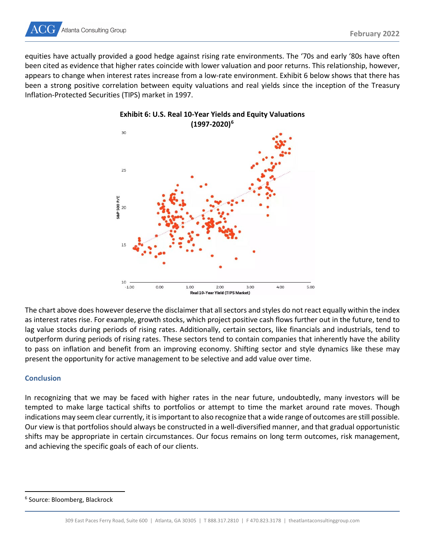

equities have actually provided a good hedge against rising rate environments. The '70s and early '80s have often been cited as evidence that higher rates coincide with lower valuation and poor returns. This relationship, however, appears to change when interest rates increase from a low-rate environment. Exhibit 6 below shows that there has been a strong positive correlation between equity valuations and real yields since the inception of the Treasury Inflation-Protected Securities (TIPS) market in 1997.



### **Exhibit 6: U.S. Real 10-Year Yields and Equity Valuations (1997-2020)[6](#page-4-0)**

The chart above does however deserve the disclaimer that all sectors and styles do not react equally within the index as interest rates rise. For example, growth stocks, which project positive cash flows further out in the future, tend to lag value stocks during periods of rising rates. Additionally, certain sectors, like financials and industrials, tend to outperform during periods of rising rates. These sectors tend to contain companies that inherently have the ability to pass on inflation and benefit from an improving economy. Shifting sector and style dynamics like these may present the opportunity for active management to be selective and add value over time.

#### **Conclusion**

In recognizing that we may be faced with higher rates in the near future, undoubtedly, many investors will be tempted to make large tactical shifts to portfolios or attempt to time the market around rate moves. Though indications may seem clear currently, it is important to also recognize that a wide range of outcomes are still possible. Our view is that portfolios should always be constructed in a well-diversified manner, and that gradual opportunistic shifts may be appropriate in certain circumstances. Our focus remains on long term outcomes, risk management, and achieving the specific goals of each of our clients.

<span id="page-4-0"></span><sup>6</sup> Source: Bloomberg, Blackrock